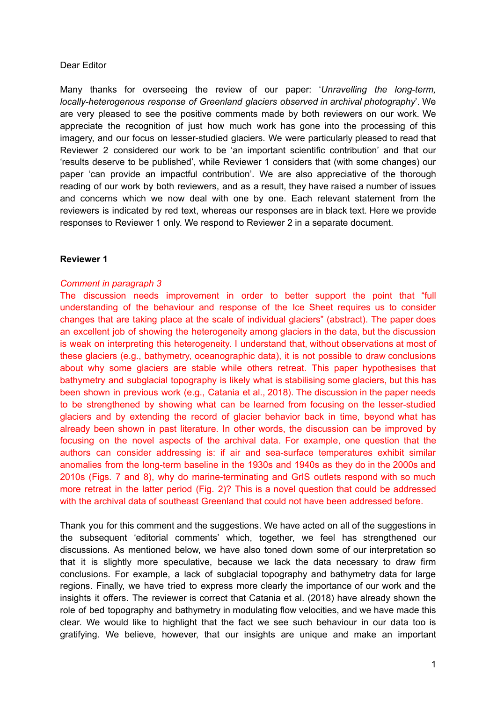#### Dear Editor

Many thanks for overseeing the review of our paper: '*Unravelling the long-term, locally-heterogenous response of Greenland glaciers observed in archival photography*'. We are very pleased to see the positive comments made by both reviewers on our work. We appreciate the recognition of just how much work has gone into the processing of this imagery, and our focus on lesser-studied glaciers. We were particularly pleased to read that Reviewer 2 considered our work to be 'an important scientific contribution' and that our 'results deserve to be published', while Reviewer 1 considers that (with some changes) our paper 'can provide an impactful contribution'. We are also appreciative of the thorough reading of our work by both reviewers, and as a result, they have raised a number of issues and concerns which we now deal with one by one. Each relevant statement from the reviewers is indicated by red text, whereas our responses are in black text. Here we provide responses to Reviewer 1 only. We respond to Reviewer 2 in a separate document.

### **Reviewer 1**

# *Comment in paragraph 3*

The discussion needs improvement in order to better support the point that "full understanding of the behaviour and response of the Ice Sheet requires us to consider changes that are taking place at the scale of individual glaciers" (abstract). The paper does an excellent job of showing the heterogeneity among glaciers in the data, but the discussion is weak on interpreting this heterogeneity. I understand that, without observations at most of these glaciers (e.g., bathymetry, oceanographic data), it is not possible to draw conclusions about why some glaciers are stable while others retreat. This paper hypothesises that bathymetry and subglacial topography is likely what is stabilising some glaciers, but this has been shown in previous work (e.g., Catania et al., 2018). The discussion in the paper needs to be strengthened by showing what can be learned from focusing on the lesser-studied glaciers and by extending the record of glacier behavior back in time, beyond what has already been shown in past literature. In other words, the discussion can be improved by focusing on the novel aspects of the archival data. For example, one question that the authors can consider addressing is: if air and sea-surface temperatures exhibit similar anomalies from the long-term baseline in the 1930s and 1940s as they do in the 2000s and 2010s (Figs. 7 and 8), why do marine-terminating and GrIS outlets respond with so much more retreat in the latter period (Fig. 2)? This is a novel question that could be addressed with the archival data of southeast Greenland that could not have been addressed before.

Thank you for this comment and the suggestions. We have acted on all of the suggestions in the subsequent 'editorial comments' which, together, we feel has strengthened our discussions. As mentioned below, we have also toned down some of our interpretation so that it is slightly more speculative, because we lack the data necessary to draw firm conclusions. For example, a lack of subglacial topography and bathymetry data for large regions. Finally, we have tried to express more clearly the importance of our work and the insights it offers. The reviewer is correct that Catania et al. (2018) have already shown the role of bed topography and bathymetry in modulating flow velocities, and we have made this clear. We would like to highlight that the fact we see such behaviour in our data too is gratifying. We believe, however, that our insights are unique and make an important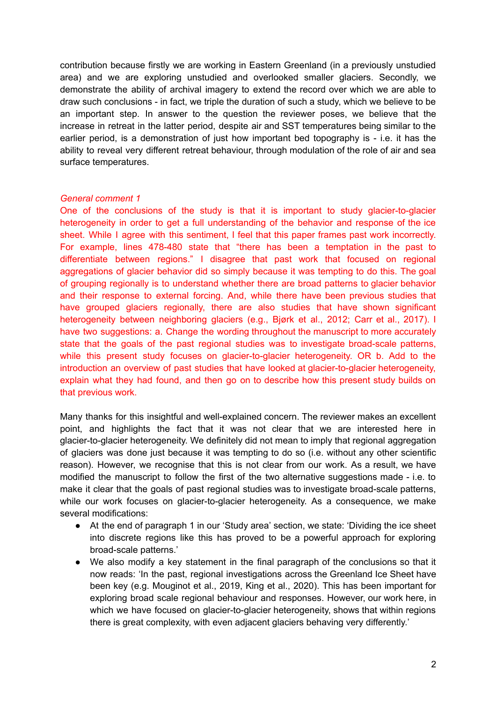contribution because firstly we are working in Eastern Greenland (in a previously unstudied area) and we are exploring unstudied and overlooked smaller glaciers. Secondly, we demonstrate the ability of archival imagery to extend the record over which we are able to draw such conclusions - in fact, we triple the duration of such a study, which we believe to be an important step. In answer to the question the reviewer poses, we believe that the increase in retreat in the latter period, despite air and SST temperatures being similar to the earlier period, is a demonstration of just how important bed topography is - i.e. it has the ability to reveal very different retreat behaviour, through modulation of the role of air and sea surface temperatures.

### *General comment 1*

One of the conclusions of the study is that it is important to study glacier-to-glacier heterogeneity in order to get a full understanding of the behavior and response of the ice sheet. While I agree with this sentiment, I feel that this paper frames past work incorrectly. For example, lines 478-480 state that "there has been a temptation in the past to differentiate between regions." I disagree that past work that focused on regional aggregations of glacier behavior did so simply because it was tempting to do this. The goal of grouping regionally is to understand whether there are broad patterns to glacier behavior and their response to external forcing. And, while there have been previous studies that have grouped glaciers regionally, there are also studies that have shown significant heterogeneity between neighboring glaciers (e.g., Bjørk et al., 2012; Carr et al., 2017). I have two suggestions: a. Change the wording throughout the manuscript to more accurately state that the goals of the past regional studies was to investigate broad-scale patterns, while this present study focuses on glacier-to-glacier heterogeneity. OR b. Add to the introduction an overview of past studies that have looked at glacier-to-glacier heterogeneity, explain what they had found, and then go on to describe how this present study builds on that previous work.

Many thanks for this insightful and well-explained concern. The reviewer makes an excellent point, and highlights the fact that it was not clear that we are interested here in glacier-to-glacier heterogeneity. We definitely did not mean to imply that regional aggregation of glaciers was done just because it was tempting to do so (i.e. without any other scientific reason). However, we recognise that this is not clear from our work. As a result, we have modified the manuscript to follow the first of the two alternative suggestions made - i.e. to make it clear that the goals of past regional studies was to investigate broad-scale patterns, while our work focuses on glacier-to-glacier heterogeneity. As a consequence, we make several modifications:

- At the end of paragraph 1 in our 'Study area' section, we state: 'Dividing the ice sheet into discrete regions like this has proved to be a powerful approach for exploring broad-scale patterns.'
- We also modify a key statement in the final paragraph of the conclusions so that it now reads: 'In the past, regional investigations across the Greenland Ice Sheet have been key (e.g. Mouginot et al., 2019, King et al., 2020). This has been important for exploring broad scale regional behaviour and responses. However, our work here, in which we have focused on glacier-to-glacier heterogeneity, shows that within regions there is great complexity, with even adjacent glaciers behaving very differently.'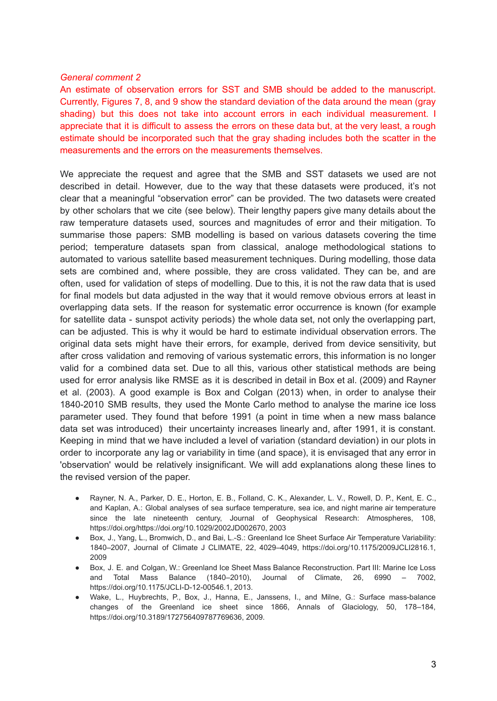#### *General comment 2*

An estimate of observation errors for SST and SMB should be added to the manuscript. Currently, Figures 7, 8, and 9 show the standard deviation of the data around the mean (gray shading) but this does not take into account errors in each individual measurement. I appreciate that it is difficult to assess the errors on these data but, at the very least, a rough estimate should be incorporated such that the gray shading includes both the scatter in the measurements and the errors on the measurements themselves.

We appreciate the request and agree that the SMB and SST datasets we used are not described in detail. However, due to the way that these datasets were produced, it's not clear that a meaningful "observation error" can be provided. The two datasets were created by other scholars that we cite (see below). Their lengthy papers give many details about the raw temperature datasets used, sources and magnitudes of error and their mitigation. To summarise those papers: SMB modelling is based on various datasets covering the time period; temperature datasets span from classical, analoge methodological stations to automated to various satellite based measurement techniques. During modelling, those data sets are combined and, where possible, they are cross validated. They can be, and are often, used for validation of steps of modelling. Due to this, it is not the raw data that is used for final models but data adjusted in the way that it would remove obvious errors at least in overlapping data sets. If the reason for systematic error occurrence is known (for example for satellite data - sunspot activity periods) the whole data set, not only the overlapping part, can be adjusted. This is why it would be hard to estimate individual observation errors. The original data sets might have their errors, for example, derived from device sensitivity, but after cross validation and removing of various systematic errors, this information is no longer valid for a combined data set. Due to all this, various other statistical methods are being used for error analysis like RMSE as it is described in detail in Box et al. (2009) and Rayner et al. (2003). A good example is Box and Colgan (2013) when, in order to analyse their 1840-2010 SMB results, they used the Monte Carlo method to analyse the marine ice loss parameter used. They found that before 1991 (a point in time when a new mass balance data set was introduced) their uncertainty increases linearly and, after 1991, it is constant. Keeping in mind that we have included a level of variation (standard deviation) in our plots in order to incorporate any lag or variability in time (and space), it is envisaged that any error in 'observation' would be relatively insignificant. We will add explanations along these lines to the revised version of the paper.

- Rayner, N. A., Parker, D. E., Horton, E. B., Folland, C. K., Alexander, L. V., Rowell, D. P., Kent, E. C., and Kaplan, A.: Global analyses of sea surface temperature, sea ice, and night marine air temperature since the late nineteenth century, Journal of Geophysical Research: Atmospheres, 108, https://doi.org/https://doi.org/10.1029/2002JD002670, 2003
- Box, J., Yang, L., Bromwich, D., and Bai, L.-S.: Greenland Ice Sheet Surface Air Temperature Variability: 1840–2007, Journal of Climate J CLIMATE, 22, 4029–4049, https://doi.org/10.1175/2009JCLI2816.1, 2009
- Box, J. E. and Colgan, W.: Greenland Ice Sheet Mass Balance Reconstruction. Part III: Marine Ice Loss and Total Mass Balance (1840–2010), Journal of Climate, 26, 6990 – 7002, https://doi.org/10.1175/JCLI-D-12-00546.1, 2013.
- Wake, L., Huybrechts, P., Box, J., Hanna, E., Janssens, I., and Milne, G.: Surface mass-balance changes of the Greenland ice sheet since 1866, Annals of Glaciology, 50, 178–184, https://doi.org/10.3189/172756409787769636, 2009.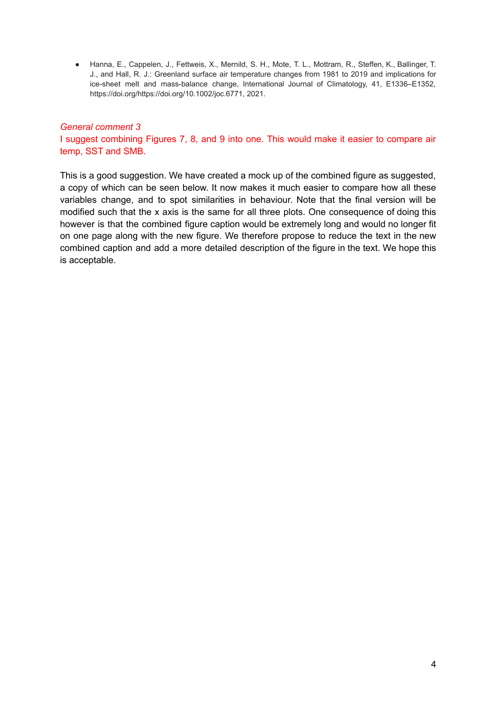● Hanna, E., Cappelen, J., Fettweis, X., Mernild, S. H., Mote, T. L., Mottram, R., Steffen, K., Ballinger, T. J., and Hall, R. J.: Greenland surface air temperature changes from 1981 to 2019 and implications for ice-sheet melt and mass-balance change, International Journal of Climatology, 41, E1336–E1352, https://doi.org/https://doi.org/10.1002/joc.6771, 2021.

# *General comment 3*

I suggest combining Figures 7, 8, and 9 into one. This would make it easier to compare air temp, SST and SMB.

This is a good suggestion. We have created a mock up of the combined figure as suggested, a copy of which can be seen below. It now makes it much easier to compare how all these variables change, and to spot similarities in behaviour. Note that the final version will be modified such that the x axis is the same for all three plots. One consequence of doing this however is that the combined figure caption would be extremely long and would no longer fit on one page along with the new figure. We therefore propose to reduce the text in the new combined caption and add a more detailed description of the figure in the text. We hope this is acceptable.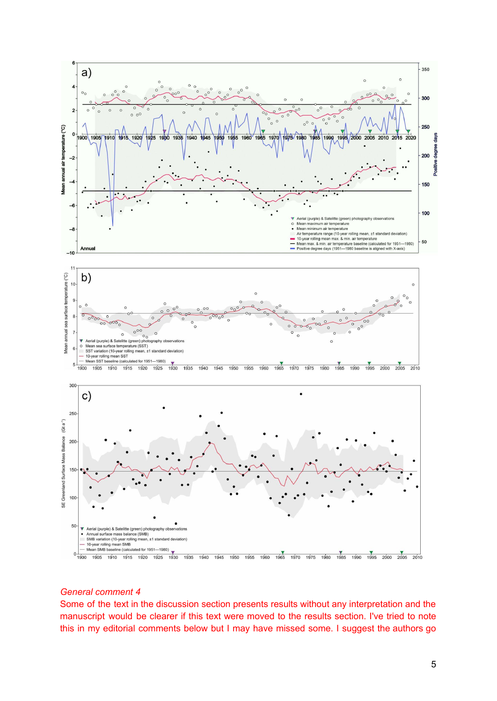

#### *General comment 4*

Some of the text in the discussion section presents results without any interpretation and the manuscript would be clearer if this text were moved to the results section. I've tried to note this in my editorial comments below but I may have missed some. I suggest the authors go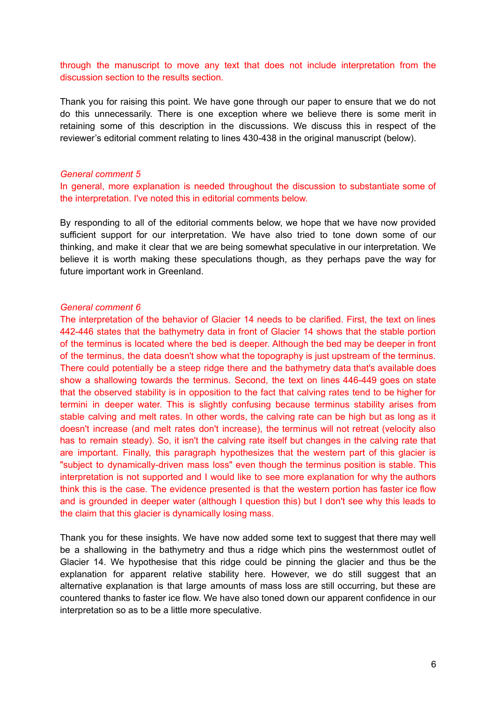through the manuscript to move any text that does not include interpretation from the discussion section to the results section.

Thank you for raising this point. We have gone through our paper to ensure that we do not do this unnecessarily. There is one exception where we believe there is some merit in retaining some of this description in the discussions. We discuss this in respect of the reviewer's editorial comment relating to lines 430-438 in the original manuscript (below).

#### *General comment 5*

In general, more explanation is needed throughout the discussion to substantiate some of the interpretation. I've noted this in editorial comments below.

By responding to all of the editorial comments below, we hope that we have now provided sufficient support for our interpretation. We have also tried to tone down some of our thinking, and make it clear that we are being somewhat speculative in our interpretation. We believe it is worth making these speculations though, as they perhaps pave the way for future important work in Greenland.

#### *General comment 6*

The interpretation of the behavior of Glacier 14 needs to be clarified. First, the text on lines 442-446 states that the bathymetry data in front of Glacier 14 shows that the stable portion of the terminus is located where the bed is deeper. Although the bed may be deeper in front of the terminus, the data doesn't show what the topography is just upstream of the terminus. There could potentially be a steep ridge there and the bathymetry data that's available does show a shallowing towards the terminus. Second, the text on lines 446-449 goes on state that the observed stability is in opposition to the fact that calving rates tend to be higher for termini in deeper water. This is slightly confusing because terminus stability arises from stable calving and melt rates. In other words, the calving rate can be high but as long as it doesn't increase (and melt rates don't increase), the terminus will not retreat (velocity also has to remain steady). So, it isn't the calving rate itself but changes in the calving rate that are important. Finally, this paragraph hypothesizes that the western part of this glacier is "subject to dynamically-driven mass loss" even though the terminus position is stable. This interpretation is not supported and I would like to see more explanation for why the authors think this is the case. The evidence presented is that the western portion has faster ice flow and is grounded in deeper water (although I question this) but I don't see why this leads to the claim that this glacier is dynamically losing mass.

Thank you for these insights. We have now added some text to suggest that there may well be a shallowing in the bathymetry and thus a ridge which pins the westernmost outlet of Glacier 14. We hypothesise that this ridge could be pinning the glacier and thus be the explanation for apparent relative stability here. However, we do still suggest that an alternative explanation is that large amounts of mass loss are still occurring, but these are countered thanks to faster ice flow. We have also toned down our apparent confidence in our interpretation so as to be a little more speculative.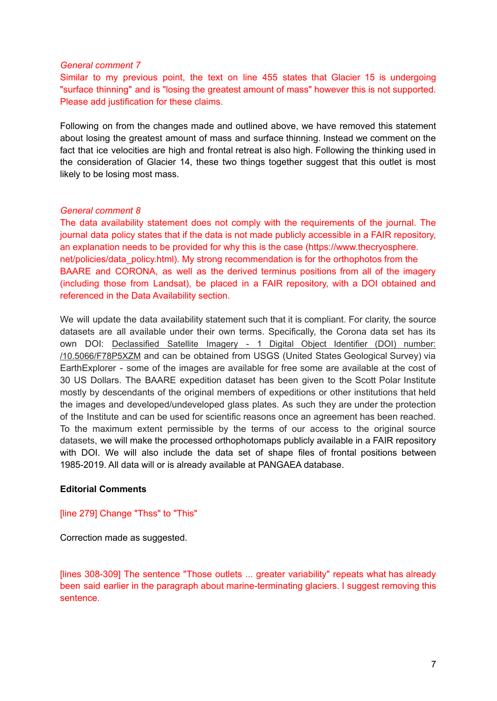#### *General comment 7*

Similar to my previous point, the text on line 455 states that Glacier 15 is undergoing "surface thinning" and is "losing the greatest amount of mass" however this is not supported. Please add justification for these claims.

Following on from the changes made and outlined above, we have removed this statement about losing the greatest amount of mass and surface thinning. Instead we comment on the fact that ice velocities are high and frontal retreat is also high. Following the thinking used in the consideration of Glacier 14, these two things together suggest that this outlet is most likely to be losing most mass.

# *General comment 8*

The data availability statement does not comply with the requirements of the journal. The journal data policy states that if the data is not made publicly accessible in a FAIR repository, an explanation needs to be provided for why this is the case (https://www.thecryosphere. net/policies/data\_policy.html). My strong recommendation is for the orthophotos from the BAARE and CORONA, as well as the derived terminus positions from all of the imagery (including those from Landsat), be placed in a FAIR repository, with a DOI obtained and referenced in the Data Availability section.

We will update the data availability statement such that it is compliant. For clarity, the source datasets are all available under their own terms. Specifically, the Corona data set has its own DOI: [Declassified](https://doi.org/10.5066/F78P5XZM) Satellite Imagery - 1 Digital Object Identifier (DOI) number: [/10.5066/F78P5XZM](https://doi.org/10.5066/F78P5XZM) and can be obtained from USGS (United States Geological Survey) via EarthExplorer - some of the images are available for free some are available at the cost of 30 US Dollars. The BAARE expedition dataset has been given to the Scott Polar Institute mostly by descendants of the original members of expeditions or other institutions that held the images and developed/undeveloped glass plates. As such they are under the protection of the Institute and can be used for scientific reasons once an agreement has been reached. To the maximum extent permissible by the terms of our access to the original source datasets, we will make the processed orthophotomaps publicly available in a FAIR repository with DOI. We will also include the data set of shape files of frontal positions between 1985-2019. All data will or is already available at PANGAEA database.

# **Editorial Comments**

#### [line 279] Change "Thss" to "This"

Correction made as suggested.

[lines 308-309] The sentence "Those outlets ... greater variability" repeats what has already been said earlier in the paragraph about marine-terminating glaciers. I suggest removing this sentence.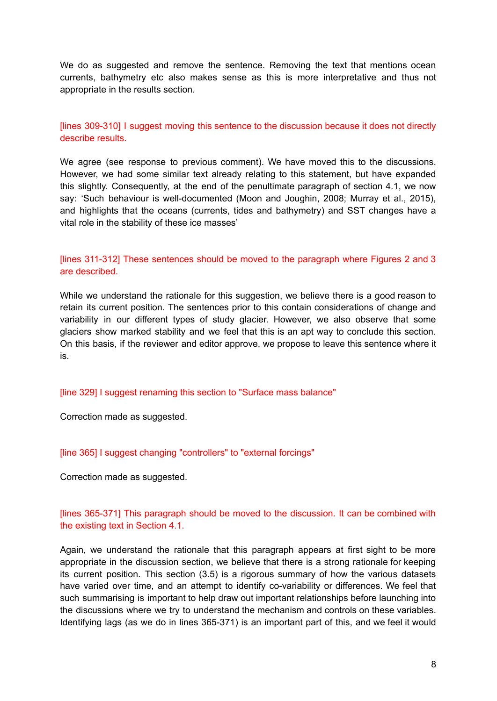We do as suggested and remove the sentence. Removing the text that mentions ocean currents, bathymetry etc also makes sense as this is more interpretative and thus not appropriate in the results section.

[lines 309-310] I suggest moving this sentence to the discussion because it does not directly describe results.

We agree (see response to previous comment). We have moved this to the discussions. However, we had some similar text already relating to this statement, but have expanded this slightly. Consequently, at the end of the penultimate paragraph of section 4.1, we now say: 'Such behaviour is well-documented (Moon and Joughin, 2008; Murray et al., 2015), and highlights that the oceans (currents, tides and bathymetry) and SST changes have a vital role in the stability of these ice masses'

# [lines 311-312] These sentences should be moved to the paragraph where Figures 2 and 3 are described.

While we understand the rationale for this suggestion, we believe there is a good reason to retain its current position. The sentences prior to this contain considerations of change and variability in our different types of study glacier. However, we also observe that some glaciers show marked stability and we feel that this is an apt way to conclude this section. On this basis, if the reviewer and editor approve, we propose to leave this sentence where it is.

[line 329] I suggest renaming this section to "Surface mass balance"

Correction made as suggested.

[line 365] I suggest changing "controllers" to "external forcings"

Correction made as suggested.

# [lines 365-371] This paragraph should be moved to the discussion. It can be combined with the existing text in Section 4.1.

Again, we understand the rationale that this paragraph appears at first sight to be more appropriate in the discussion section, we believe that there is a strong rationale for keeping its current position. This section (3.5) is a rigorous summary of how the various datasets have varied over time, and an attempt to identify co-variability or differences. We feel that such summarising is important to help draw out important relationships before launching into the discussions where we try to understand the mechanism and controls on these variables. Identifying lags (as we do in lines 365-371) is an important part of this, and we feel it would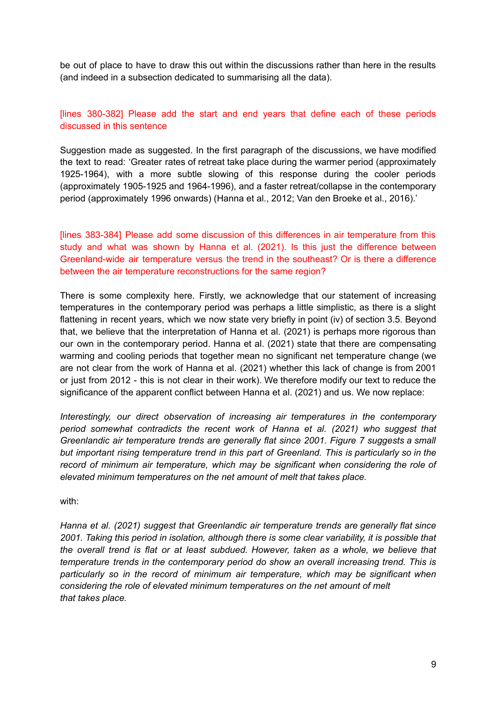be out of place to have to draw this out within the discussions rather than here in the results (and indeed in a subsection dedicated to summarising all the data).

# [lines 380-382] Please add the start and end years that define each of these periods discussed in this sentence

Suggestion made as suggested. In the first paragraph of the discussions, we have modified the text to read: 'Greater rates of retreat take place during the warmer period (approximately 1925-1964), with a more subtle slowing of this response during the cooler periods (approximately 1905-1925 and 1964-1996), and a faster retreat/collapse in the contemporary period (approximately 1996 onwards) (Hanna et al., 2012; Van den Broeke et al., 2016).'

[lines 383-384] Please add some discussion of this differences in air temperature from this study and what was shown by Hanna et al. (2021). Is this just the difference between Greenland-wide air temperature versus the trend in the southeast? Or is there a difference between the air temperature reconstructions for the same region?

There is some complexity here. Firstly, we acknowledge that our statement of increasing temperatures in the contemporary period was perhaps a little simplistic, as there is a slight flattening in recent years, which we now state very briefly in point (iv) of section 3.5. Beyond that, we believe that the interpretation of Hanna et al. (2021) is perhaps more rigorous than our own in the contemporary period. Hanna et al. (2021) state that there are compensating warming and cooling periods that together mean no significant net temperature change (we are not clear from the work of Hanna et al. (2021) whether this lack of change is from 2001 or just from 2012 - this is not clear in their work). We therefore modify our text to reduce the significance of the apparent conflict between Hanna et al. (2021) and us. We now replace:

*Interestingly, our direct observation of increasing air temperatures in the contemporary period somewhat contradicts the recent work of Hanna et al. (2021) who suggest that Greenlandic air temperature trends are generally flat since 2001. Figure 7 suggests a small but important rising temperature trend in this part of Greenland. This is particularly so in the record of minimum air temperature, which may be significant when considering the role of elevated minimum temperatures on the net amount of melt that takes place.*

with:

*Hanna et al. (2021) suggest that Greenlandic air temperature trends are generally flat since 2001. Taking this period in isolation, although there is some clear variability, it is possible that the overall trend is flat or at least subdued. However, taken as a whole, we believe that temperature trends in the contemporary period do show an overall increasing trend. This is particularly so in the record of minimum air temperature, which may be significant when considering the role of elevated minimum temperatures on the net amount of melt that takes place.*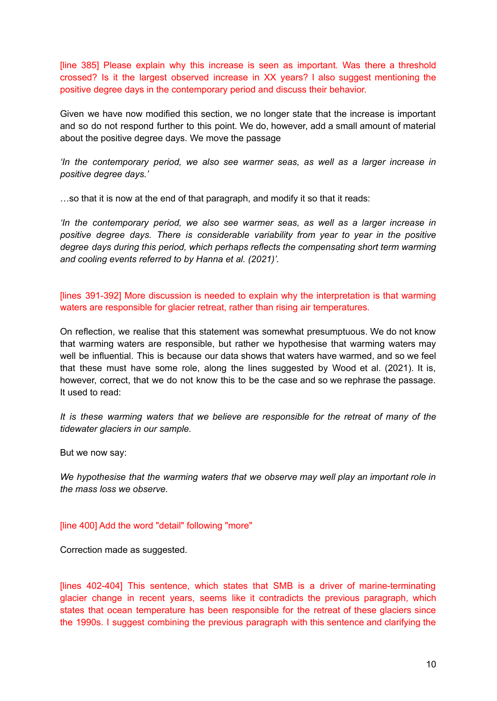[line 385] Please explain why this increase is seen as important. Was there a threshold crossed? Is it the largest observed increase in XX years? I also suggest mentioning the positive degree days in the contemporary period and discuss their behavior.

Given we have now modified this section, we no longer state that the increase is important and so do not respond further to this point. We do, however, add a small amount of material about the positive degree days. We move the passage

*'In the contemporary period, we also see warmer seas, as well as a larger increase in positive degree days.'*

…so that it is now at the end of that paragraph, and modify it so that it reads:

*'In the contemporary period, we also see warmer seas, as well as a larger increase in positive degree days. There is considerable variability from year to year in the positive degree days during this period, which perhaps reflects the compensating short term warming and cooling events referred to by Hanna et al. (2021)'.*

[lines 391-392] More discussion is needed to explain why the interpretation is that warming waters are responsible for glacier retreat, rather than rising air temperatures.

On reflection, we realise that this statement was somewhat presumptuous. We do not know that warming waters are responsible, but rather we hypothesise that warming waters may well be influential. This is because our data shows that waters have warmed, and so we feel that these must have some role, along the lines suggested by Wood et al. (2021). It is, however, correct, that we do not know this to be the case and so we rephrase the passage. It used to read:

*It is these warming waters that we believe are responsible for the retreat of many of the tidewater glaciers in our sample.*

But we now say:

*We hypothesise that the warming waters that we observe may well play an important role in the mass loss we observe.*

#### [line 400] Add the word "detail" following "more"

Correction made as suggested.

[lines 402-404] This sentence, which states that SMB is a driver of marine-terminating glacier change in recent years, seems like it contradicts the previous paragraph, which states that ocean temperature has been responsible for the retreat of these glaciers since the 1990s. I suggest combining the previous paragraph with this sentence and clarifying the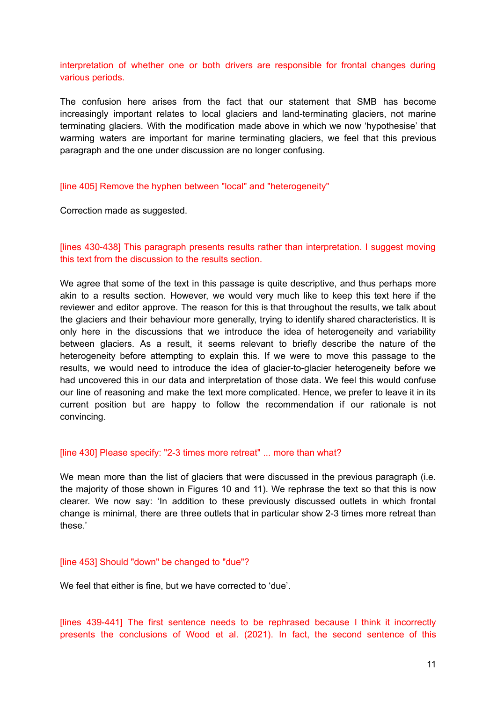interpretation of whether one or both drivers are responsible for frontal changes during various periods.

The confusion here arises from the fact that our statement that SMB has become increasingly important relates to local glaciers and land-terminating glaciers, not marine terminating glaciers. With the modification made above in which we now 'hypothesise' that warming waters are important for marine terminating glaciers, we feel that this previous paragraph and the one under discussion are no longer confusing.

#### [line 405] Remove the hyphen between "local" and "heterogeneity"

Correction made as suggested.

### [lines 430-438] This paragraph presents results rather than interpretation. I suggest moving this text from the discussion to the results section.

We agree that some of the text in this passage is quite descriptive, and thus perhaps more akin to a results section. However, we would very much like to keep this text here if the reviewer and editor approve. The reason for this is that throughout the results, we talk about the glaciers and their behaviour more generally, trying to identify shared characteristics. It is only here in the discussions that we introduce the idea of heterogeneity and variability between glaciers. As a result, it seems relevant to briefly describe the nature of the heterogeneity before attempting to explain this. If we were to move this passage to the results, we would need to introduce the idea of glacier-to-glacier heterogeneity before we had uncovered this in our data and interpretation of those data. We feel this would confuse our line of reasoning and make the text more complicated. Hence, we prefer to leave it in its current position but are happy to follow the recommendation if our rationale is not convincing.

#### [line 430] Please specify: "2-3 times more retreat" ... more than what?

We mean more than the list of glaciers that were discussed in the previous paragraph (i.e. the majority of those shown in Figures 10 and 11). We rephrase the text so that this is now clearer. We now say: 'In addition to these previously discussed outlets in which frontal change is minimal, there are three outlets that in particular show 2-3 times more retreat than these.'

### [line 453] Should "down" be changed to "due"?

We feel that either is fine, but we have corrected to 'due'.

[lines 439-441] The first sentence needs to be rephrased because I think it incorrectly presents the conclusions of Wood et al. (2021). In fact, the second sentence of this